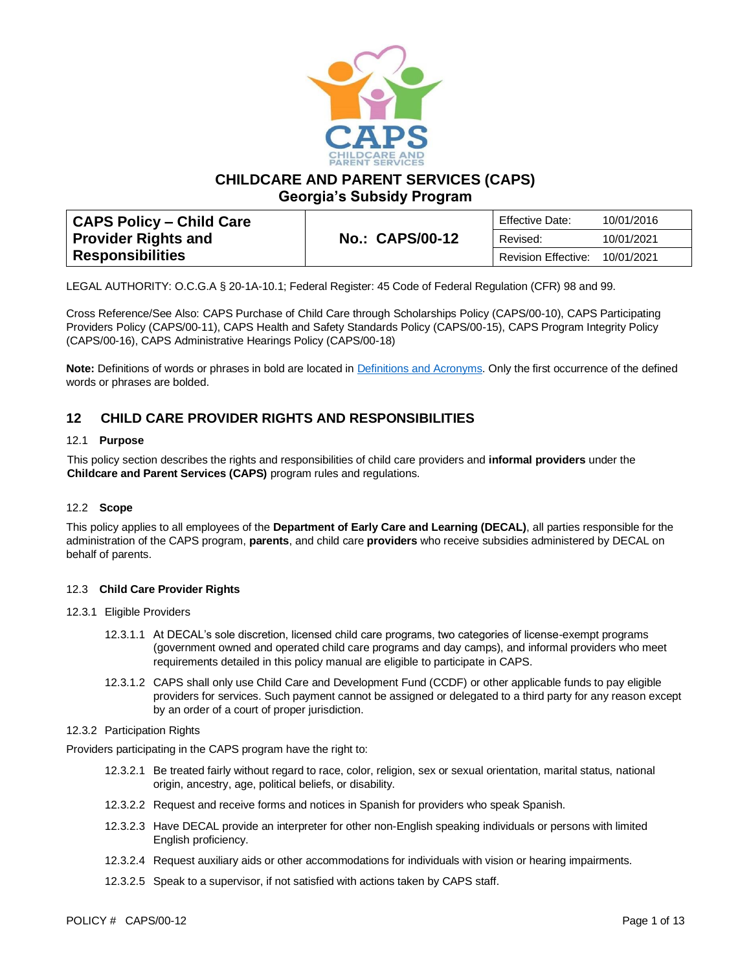

**CHILDCARE AND PARENT SERVICES (CAPS)**

**Georgia's Subsidy Program**

| CAPS Policy – Child Care |                        | Effective Date:            | 10/01/2016 |
|--------------------------|------------------------|----------------------------|------------|
| Provider Rights and      | <b>No.: CAPS/00-12</b> | Revised:                   | 10/01/2021 |
| <b>Responsibilities</b>  |                        | <b>Revision Effective:</b> | 10/01/2021 |

LEGAL AUTHORITY: O.C.G.A § 20-1A-10.1; Federal Register: 45 Code of Federal Regulation (CFR) 98 and 99.

Cross Reference/See Also: CAPS Purchase of Child Care through Scholarships Policy (CAPS/00-10), CAPS Participating Providers Policy (CAPS/00-11), CAPS Health and Safety Standards Policy (CAPS/00-15), CAPS Program Integrity Policy (CAPS/00-16), CAPS Administrative Hearings Policy (CAPS/00-18)

**Note:** Definitions of words or phrases in bold are located in [Definitions and Acronyms.](https://caps.decal.ga.gov/assets/downloads/CAPS/02-CAPS_Policy-Definitions%20and%20Acronyms.pdf) Only the first occurrence of the defined words or phrases are bolded.

# **12 CHILD CARE PROVIDER RIGHTS AND RESPONSIBILITIES**

# 12.1 **Purpose**

This policy section describes the rights and responsibilities of child care providers and **informal providers** under the **Childcare and Parent Services (CAPS)** program rules and regulations.

# 12.2 **Scope**

This policy applies to all employees of the **Department of Early Care and Learning (DECAL)**, all parties responsible for the administration of the CAPS program, **parents**, and child care **providers** who receive subsidies administered by DECAL on behalf of parents.

#### 12.3 **Child Care Provider Rights**

#### 12.3.1 Eligible Providers

- 12.3.1.1 At DECAL's sole discretion, licensed child care programs, two categories of license-exempt programs (government owned and operated child care programs and day camps), and informal providers who meet requirements detailed in this policy manual are eligible to participate in CAPS.
- 12.3.1.2 CAPS shall only use Child Care and Development Fund (CCDF) or other applicable funds to pay eligible providers for services. Such payment cannot be assigned or delegated to a third party for any reason except by an order of a court of proper jurisdiction.

#### 12.3.2 Participation Rights

Providers participating in the CAPS program have the right to:

- 12.3.2.1 Be treated fairly without regard to race, color, religion, sex or sexual orientation, marital status, national origin, ancestry, age, political beliefs, or disability.
- 12.3.2.2 Request and receive forms and notices in Spanish for providers who speak Spanish.
- 12.3.2.3 Have DECAL provide an interpreter for other non-English speaking individuals or persons with limited English proficiency.
- 12.3.2.4 Request auxiliary aids or other accommodations for individuals with vision or hearing impairments.
- 12.3.2.5 Speak to a supervisor, if not satisfied with actions taken by CAPS staff.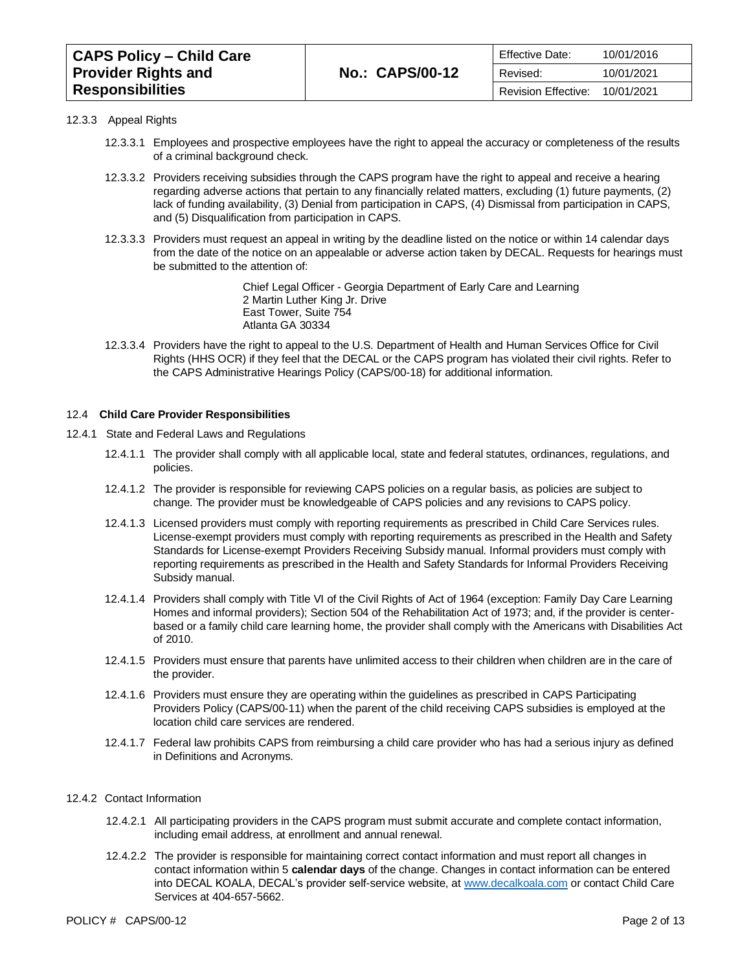| <b>CAPS Policy - Child Care</b> |                        | <b>Effective Date:</b>         | 10/01/2016 |
|---------------------------------|------------------------|--------------------------------|------------|
| <b>Provider Rights and</b>      | <b>No.: CAPS/00-12</b> | Revised:                       | 10/01/2021 |
| <b>Responsibilities</b>         |                        | Revision Effective: 10/01/2021 |            |

#### 12.3.3 Appeal Rights

- 12.3.3.1 Employees and prospective employees have the right to appeal the accuracy or completeness of the results of a criminal background check.
- 12.3.3.2 Providers receiving subsidies through the CAPS program have the right to appeal and receive a hearing regarding adverse actions that pertain to any financially related matters, excluding (1) future payments, (2) lack of funding availability, (3) Denial from participation in CAPS, (4) Dismissal from participation in CAPS, and (5) Disqualification from participation in CAPS.
- 12.3.3.3 Providers must request an appeal in writing by the deadline listed on the notice or within 14 calendar days from the date of the notice on an appealable or adverse action taken by DECAL. Requests for hearings must be submitted to the attention of:

Chief Legal Officer - Georgia Department of Early Care and Learning 2 Martin Luther King Jr. Drive East Tower, Suite 754 Atlanta GA 30334

12.3.3.4 Providers have the right to appeal to the U.S. Department of Health and Human Services Office for Civil Rights (HHS OCR) if they feel that the DECAL or the CAPS program has violated their civil rights. Refer to the [CAPS Administrative Hearings Policy \(CAPS/00-18\)](https://caps.decal.ga.gov/assets/downloads/CAPS/18-CAPS_Policy-Administrative%20Hearings.pdf) for additional information.

#### 12.4 **Child Care Provider Responsibilities**

- 12.4.1 State and Federal Laws and Regulations
	- 12.4.1.1 The provider shall comply with all applicable local, state and federal statutes, ordinances, regulations, and policies.
	- 12.4.1.2 The provider is responsible for reviewing CAPS policies on a regular basis, as policies are subject to change. The provider must be knowledgeable of CAPS policies and any revisions to CAPS policy.
	- 12.4.1.3 Licensed providers must comply with reporting requirements as prescribed in Child Care Services rules. License-exempt providers must comply with reporting requirements as prescribed in the [Health and Safety](http://www.decal.ga.gov/documents/attachments/ExemptprogramsHealth&SafetyStandards.docx)  [Standards for License-exempt Providers Receiving Subsidy manual.](http://www.decal.ga.gov/documents/attachments/ExemptprogramsHealth&SafetyStandards.docx) Informal providers must comply with reporting requirements as prescribed in the [Health and Safety Standards for Informal Providers Receiving](https://caps.decal.ga.gov/assets/downloads/CAPS/Appendix_HH-Health%20and%20Safety%20Standards%20for%20Informal%20Providers.pdf)  [Subsidy manual.](https://caps.decal.ga.gov/assets/downloads/CAPS/Appendix_HH-Health%20and%20Safety%20Standards%20for%20Informal%20Providers.pdf)
	- 12.4.1.4 Providers shall comply with Title VI of the Civil Rights of Act of 1964 (exception: Family Day Care Learning Homes and informal providers); Section 504 of the Rehabilitation Act of 1973; and, if the provider is centerbased or a family child care learning home, the provider shall comply with the Americans with Disabilities Act of 2010.
	- 12.4.1.5 Providers must ensure that parents have unlimited access to their children when children are in the care of the provider.
	- 12.4.1.6 Providers must ensure they are operating within the guidelines as prescribed in [CAPS Participating](https://caps.decal.ga.gov/assets/downloads/CAPS/11-CAPS_Policy-Participating%20Providers.pdf)  [Providers Policy \(CAPS/00-11\)](https://caps.decal.ga.gov/assets/downloads/CAPS/11-CAPS_Policy-Participating%20Providers.pdf) when the parent of the child receiving CAPS subsidies is employed at the location child care services are rendered.
	- 12.4.1.7 Federal law prohibits CAPS from reimbursing a child care provider who has had a serious injury as defined i[n Definitions and Acronyms.](https://caps.decal.ga.gov/assets/downloads/CAPS/02-CAPS_Policy-Definitions%20and%20Acronyms.pdf)

# 12.4.2 Contact Information

- 12.4.2.1 All participating providers in the CAPS program must submit accurate and complete contact information, including email address, at enrollment and annual renewal.
- 12.4.2.2 The provider is responsible for maintaining correct contact information and must report all changes in contact information within 5 **calendar days** of the change. Changes in contact information can be entered into DECAL KOALA, DECAL's provider self-service website, at [www.decalkoala.com](http://www.decalkoala.com/) or contact Child Care Services at 404-657-5662.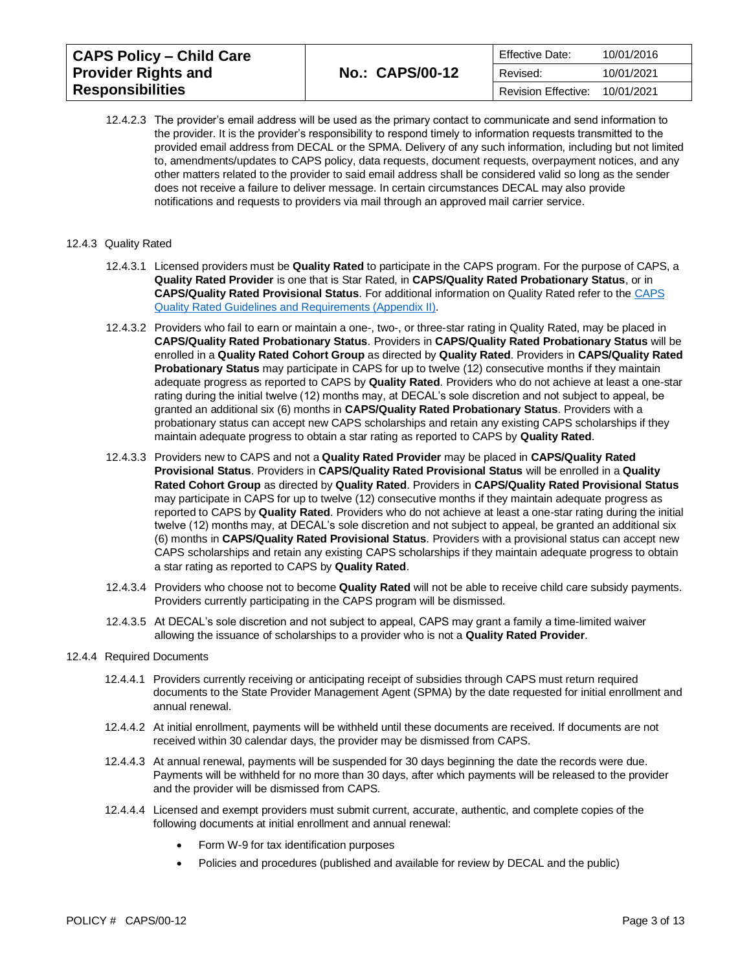| <b>CAPS Policy - Child Care</b> |                        | <b>Effective Date:</b> | 10/01/2016 |
|---------------------------------|------------------------|------------------------|------------|
| <b>Provider Rights and</b>      | <b>No.: CAPS/00-12</b> | Revised:               | 10/01/2021 |
| <b>Responsibilities</b>         |                        | Revision Effective:    | 10/01/2021 |

12.4.2.3 The provider's email address will be used as the primary contact to communicate and send information to the provider. It is the provider's responsibility to respond timely to information requests transmitted to the provided email address from DECAL or the SPMA. Delivery of any such information, including but not limited to, amendments/updates to CAPS policy, data requests, document requests, overpayment notices, and any other matters related to the provider to said email address shall be considered valid so long as the sender does not receive a failure to deliver message. In certain circumstances DECAL may also provide notifications and requests to providers via mail through an approved mail carrier service.

#### 12.4.3 Quality Rated

- 12.4.3.1 Licensed providers must be **Quality Rated** to participate in the CAPS program. For the purpose of CAPS, a **Quality Rated Provider** is one that is Star Rated, in **CAPS/Quality Rated Probationary Status**, or in **CAPS/Quality Rated Provisional Status**. For additional information on Quality Rated refer to the [CAPS](https://caps.decal.ga.gov/assets/downloads/CAPS/Appendix_II-CAPS%20Quality%20Rated%20Guidelines%20and%20Requirements.pdf)  [Quality Rated Guidelines and Requirements \(Appendix II\).](https://caps.decal.ga.gov/assets/downloads/CAPS/Appendix_II-CAPS%20Quality%20Rated%20Guidelines%20and%20Requirements.pdf)
- 12.4.3.2 Providers who fail to earn or maintain a one-, two-, or three-star rating in Quality Rated, may be placed in **CAPS/Quality Rated Probationary Status**. Providers in **CAPS/Quality Rated Probationary Status** will be enrolled in a **Quality Rated Cohort Group** as directed by **Quality Rated**. Providers in **CAPS/Quality Rated Probationary Status** may participate in CAPS for up to twelve (12) consecutive months if they maintain adequate progress as reported to CAPS by **Quality Rated**. Providers who do not achieve at least a one-star rating during the initial twelve (12) months may, at DECAL's sole discretion and not subject to appeal, be granted an additional six (6) months in **CAPS/Quality Rated Probationary Status**. Providers with a probationary status can accept new CAPS scholarships and retain any existing CAPS scholarships if they maintain adequate progress to obtain a star rating as reported to CAPS by **Quality Rated**.
- 12.4.3.3 Providers new to CAPS and not a **Quality Rated Provider** may be placed in **CAPS/Quality Rated Provisional Status**. Providers in **CAPS/Quality Rated Provisional Status** will be enrolled in a **Quality Rated Cohort Group** as directed by **Quality Rated**. Providers in **CAPS/Quality Rated Provisional Status** may participate in CAPS for up to twelve (12) consecutive months if they maintain adequate progress as reported to CAPS by **Quality Rated**. Providers who do not achieve at least a one-star rating during the initial twelve (12) months may, at DECAL's sole discretion and not subject to appeal, be granted an additional six (6) months in **CAPS/Quality Rated Provisional Status**. Providers with a provisional status can accept new CAPS scholarships and retain any existing CAPS scholarships if they maintain adequate progress to obtain a star rating as reported to CAPS by **Quality Rated**.
- 12.4.3.4 Providers who choose not to become **Quality Rated** will not be able to receive child care subsidy payments. Providers currently participating in the CAPS program will be dismissed.
- 12.4.3.5 At DECAL's sole discretion and not subject to appeal, CAPS may grant a family a time-limited waiver allowing the issuance of scholarships to a provider who is not a **Quality Rated Provider**.

#### 12.4.4 Required Documents

- 12.4.4.1 Providers currently receiving or anticipating receipt of subsidies through CAPS must return required documents to the State Provider Management Agent (SPMA) by the date requested for initial enrollment and annual renewal.
- 12.4.4.2 At initial enrollment, payments will be withheld until these documents are received. If documents are not received within 30 calendar days, the provider may be dismissed from CAPS.
- 12.4.4.3 At annual renewal, payments will be suspended for 30 days beginning the date the records were due. Payments will be withheld for no more than 30 days, after which payments will be released to the provider and the provider will be dismissed from CAPS.
- 12.4.4.4 Licensed and exempt providers must submit current, accurate, authentic, and complete copies of the following documents at initial enrollment and annual renewal:
	- Form W-9 for tax identification purposes
	- Policies and procedures (published and available for review by DECAL and the public)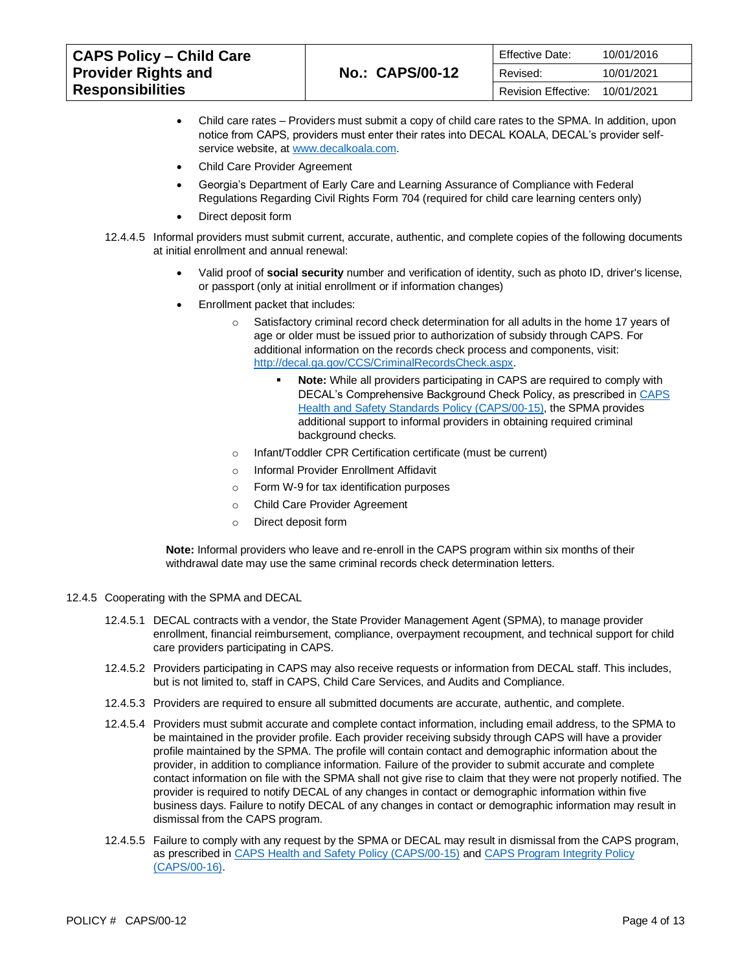| <b>CAPS Policy – Child Care</b> |                        | <b>Effective Date:</b> | 10/01/2016 |
|---------------------------------|------------------------|------------------------|------------|
| <b>Provider Rights and</b>      | <b>No.: CAPS/00-12</b> | Revised:               | 10/01/2021 |
| <b>Responsibilities</b>         |                        | Revision Effective:    | 10/01/2021 |

- Child care rates Providers must submit a copy of child care rates to the SPMA. In addition, upon notice from CAPS, providers must enter their rates into DECAL KOALA, DECAL's provider selfservice website, a[t www.decalkoala.com.](http://www.decalkoala.com/)
- Child Care Provider Agreement
- Georgia's Department of Early Care and Learning Assurance of Compliance with Federal Regulations Regarding Civil Rights Form 704 (required for child care learning centers only)
- Direct deposit form
- 12.4.4.5 Informal providers must submit current, accurate, authentic, and complete copies of the following documents at initial enrollment and annual renewal:
	- Valid proof of **social security** number and verification of identity, such as photo ID, driver's license, or passport (only at initial enrollment or if information changes)
	- Enrollment packet that includes:
		- $\circ$  Satisfactory criminal record check determination for all adults in the home 17 years of age or older must be issued prior to authorization of subsidy through CAPS. For additional information on the records check process and components, visit: [http://decal.ga.gov/CCS/CriminalRecordsCheck.aspx.](http://decal.ga.gov/CCS/CriminalRecordsCheck.aspx)
			- **Note:** While all providers participating in CAPS are required to comply with DECAL's Comprehensive Background Check Policy, as prescribed i[n CAPS](https://caps.decal.ga.gov/assets/downloads/CAPS/15-CAPS_Policy-Health%20and%20Safety%20Standards.pdf) [Health and Safety Standards Policy \(CAPS/00-15\),](https://caps.decal.ga.gov/assets/downloads/CAPS/15-CAPS_Policy-Health%20and%20Safety%20Standards.pdf) the SPMA provides additional support to informal providers in obtaining required criminal background checks.
		- o Infant/Toddler CPR Certification certificate (must be current)
		- o Informal Provider Enrollment Affidavit
		- o Form W-9 for tax identification purposes
		- o Child Care Provider Agreement
		- o Direct deposit form

**Note:** Informal providers who leave and re-enroll in the CAPS program within six months of their withdrawal date may use the same criminal records check determination letters.

- 12.4.5 Cooperating with the SPMA and DECAL
	- 12.4.5.1 DECAL contracts with a vendor, the State Provider Management Agent (SPMA), to manage provider enrollment, financial reimbursement, compliance, overpayment recoupment, and technical support for child care providers participating in CAPS.
	- 12.4.5.2 Providers participating in CAPS may also receive requests or information from DECAL staff. This includes, but is not limited to, staff in CAPS, Child Care Services, and Audits and Compliance.
	- 12.4.5.3 Providers are required to ensure all submitted documents are accurate, authentic, and complete.
	- 12.4.5.4 Providers must submit accurate and complete contact information, including email address, to the SPMA to be maintained in the provider profile. Each provider receiving subsidy through CAPS will have a provider profile maintained by the SPMA. The profile will contain contact and demographic information about the provider, in addition to compliance information. Failure of the provider to submit accurate and complete contact information on file with the SPMA shall not give rise to claim that they were not properly notified. The provider is required to notify DECAL of any changes in contact or demographic information within five business days. Failure to notify DECAL of any changes in contact or demographic information may result in dismissal from the CAPS program.
	- 12.4.5.5 Failure to comply with any request by the SPMA or DECAL may result in dismissal from the CAPS program, as prescribed in [CAPS Health and Safety Policy \(CAPS/00-15\)](https://caps.decal.ga.gov/assets/downloads/CAPS/15-CAPS_Policy-Health%20and%20Safety%20Standards.pdf) an[d CAPS Program Integrity Policy](https://caps.decal.ga.gov/assets/downloads/CAPS/16-CAPS_Policy-Program%20Integrity.pdf)  [\(CAPS/00-16\).](https://caps.decal.ga.gov/assets/downloads/CAPS/16-CAPS_Policy-Program%20Integrity.pdf)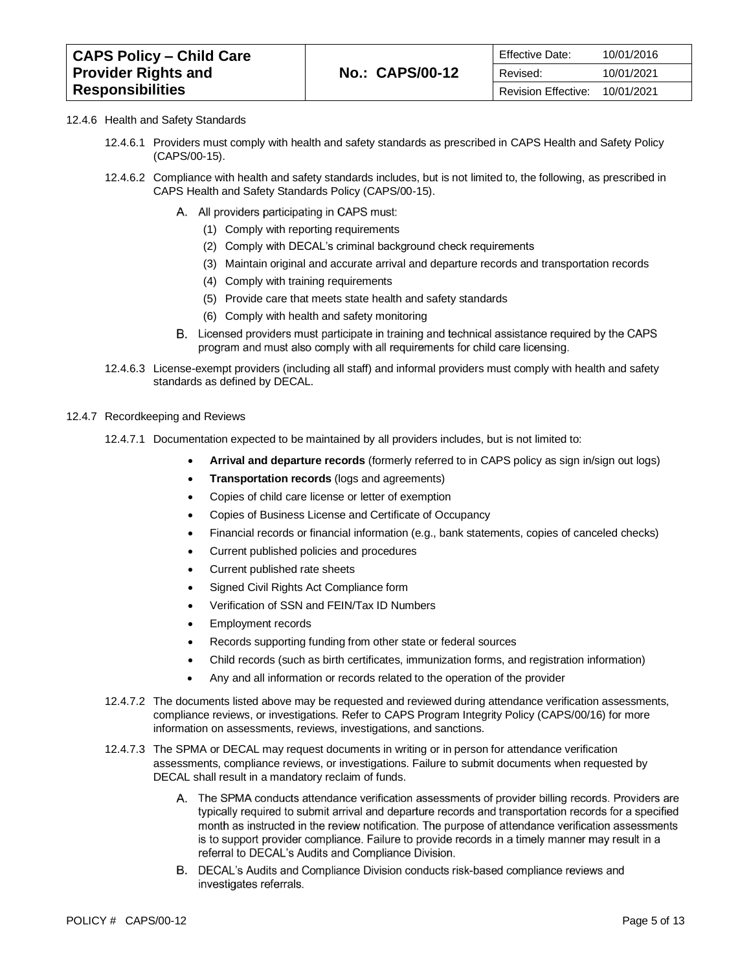| <b>CAPS Policy - Child Care</b> |                        | <b>Effective Date:</b>         | 10/01/2016 |
|---------------------------------|------------------------|--------------------------------|------------|
| <b>Provider Rights and</b>      | <b>No.: CAPS/00-12</b> | Revised:                       | 10/01/2021 |
| <b>Responsibilities</b>         |                        | Revision Effective: 10/01/2021 |            |

#### 12.4.6 Health and Safety Standards

- 12.4.6.1 Providers must comply with health and safety standards as prescribed in [CAPS Health and Safety Policy](https://caps.decal.ga.gov/assets/downloads/CAPS/15-CAPS_Policy-Health%20and%20Safety%20Standards.pdf)  [\(CAPS/00-15\).](https://caps.decal.ga.gov/assets/downloads/CAPS/15-CAPS_Policy-Health%20and%20Safety%20Standards.pdf)
- 12.4.6.2 Compliance with health and safety standards includes, but is not limited to, the following, as prescribed in [CAPS Health and Safety Standards Policy \(CAPS/00-15\).](https://caps.decal.ga.gov/assets/downloads/CAPS/15-CAPS_Policy-Health%20and%20Safety%20Standards.pdf)
	- A. All providers participating in CAPS must:
		- (1) Comply with reporting requirements
		- (2) Comply with DECAL's criminal background check requirements
		- (3) Maintain original and accurate arrival and departure records and transportation records
		- (4) Comply with training requirements
		- (5) Provide care that meets state health and safety standards
		- (6) Comply with health and safety monitoring
	- B. Licensed providers must participate in training and technical assistance required by the CAPS program and must also comply with all requirements for child care licensing.
- 12.4.6.3 License-exempt providers (including all staff) and informal providers must comply with health and safety standards as defined by DECAL.

#### 12.4.7 Recordkeeping and Reviews

- 12.4.7.1 Documentation expected to be maintained by all providers includes, but is not limited to:
	- **Arrival and departure records** (formerly referred to in CAPS policy as sign in/sign out logs)
	- **Transportation records** (logs and agreements)
	- Copies of child care license or letter of exemption
	- Copies of Business License and Certificate of Occupancy
	- Financial records or financial information (e.g., bank statements, copies of canceled checks)
	- Current published policies and procedures
	- Current published rate sheets
	- Signed Civil Rights Act Compliance form
	- Verification of SSN and FEIN/Tax ID Numbers
	- Employment records
	- Records supporting funding from other state or federal sources
	- Child records (such as birth certificates, immunization forms, and registration information)
	- Any and all information or records related to the operation of the provider
- 12.4.7.2 The documents listed above may be requested and reviewed during attendance verification assessments, compliance reviews, or investigations. Refer to [CAPS Program Integrity Policy \(CAPS/00/16\)](https://caps.decal.ga.gov/assets/downloads/CAPS/16-CAPS_Policy-Program%20Integrity.pdf) for more information on assessments, reviews, investigations, and sanctions.
- 12.4.7.3 The SPMA or DECAL may request documents in writing or in person for attendance verification assessments, compliance reviews, or investigations. Failure to submit documents when requested by DECAL shall result in a mandatory reclaim of funds.
	- A. The SPMA conducts attendance verification assessments of provider billing records. Providers are typically required to submit arrival and departure records and transportation records for a specified month as instructed in the review notification. The purpose of attendance verification assessments is to support provider compliance. Failure to provide records in a timely manner may result in a referral to DECAL's Audits and Compliance Division.
	- B. DECAL's Audits and Compliance Division conducts risk-based compliance reviews and investigates referrals.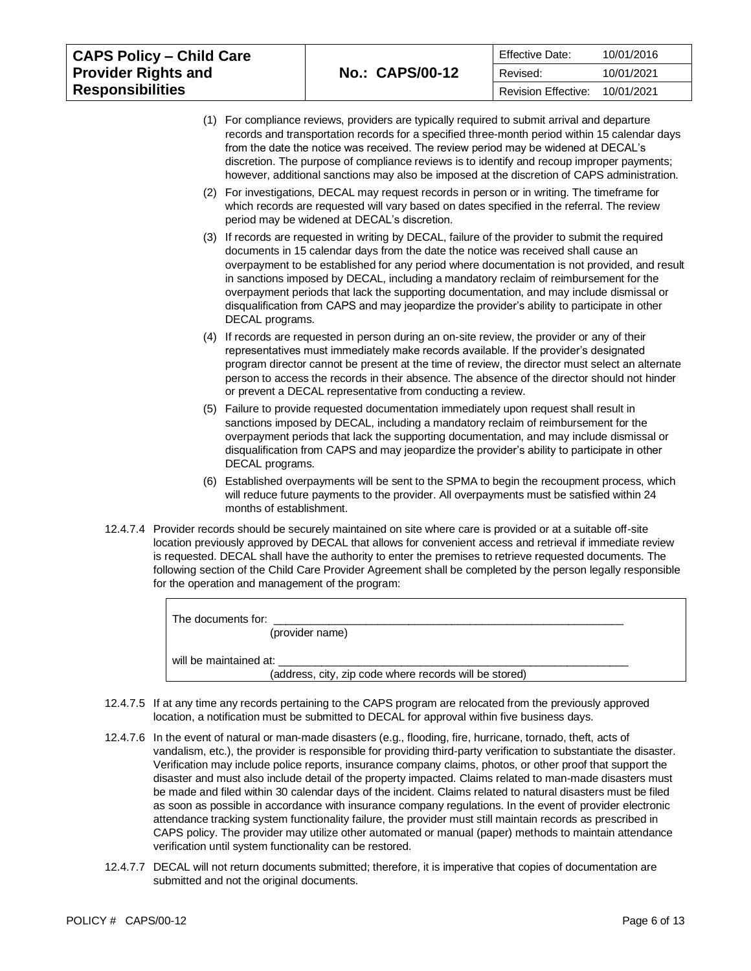| <b>CAPS Policy - Child Care</b> |                        | <b>Effective Date:</b> | 10/01/2016 |
|---------------------------------|------------------------|------------------------|------------|
| <b>Provider Rights and</b>      | <b>No.: CAPS/00-12</b> | Revised:               | 10/01/2021 |
| <b>Responsibilities</b>         |                        | Revision Effective:    | 10/01/2021 |

- (1) For compliance reviews, providers are typically required to submit arrival and departure records and transportation records for a specified three-month period within 15 calendar days from the date the notice was received. The review period may be widened at DECAL's discretion. The purpose of compliance reviews is to identify and recoup improper payments; however, additional sanctions may also be imposed at the discretion of CAPS administration.
- (2) For investigations, DECAL may request records in person or in writing. The timeframe for which records are requested will vary based on dates specified in the referral. The review period may be widened at DECAL's discretion.
- (3) If records are requested in writing by DECAL, failure of the provider to submit the required documents in 15 calendar days from the date the notice was received shall cause an overpayment to be established for any period where documentation is not provided, and result in sanctions imposed by DECAL, including a mandatory reclaim of reimbursement for the overpayment periods that lack the supporting documentation, and may include dismissal or disqualification from CAPS and may jeopardize the provider's ability to participate in other DECAL programs.
- (4) If records are requested in person during an on-site review, the provider or any of their representatives must immediately make records available. If the provider's designated program director cannot be present at the time of review, the director must select an alternate person to access the records in their absence. The absence of the director should not hinder or prevent a DECAL representative from conducting a review.
- (5) Failure to provide requested documentation immediately upon request shall result in sanctions imposed by DECAL, including a mandatory reclaim of reimbursement for the overpayment periods that lack the supporting documentation, and may include dismissal or disqualification from CAPS and may jeopardize the provider's ability to participate in other DECAL programs.
- (6) Established overpayments will be sent to the SPMA to begin the recoupment process, which will reduce future payments to the provider. All overpayments must be satisfied within 24 months of establishment.
- 12.4.7.4 Provider records should be securely maintained on site where care is provided or at a suitable off-site location previously approved by DECAL that allows for convenient access and retrieval if immediate review is requested. DECAL shall have the authority to enter the premises to retrieve requested documents. The following section of the Child Care Provider Agreement shall be completed by the person legally responsible for the operation and management of the program:

| The documents for:                                     |  |
|--------------------------------------------------------|--|
| (provider name)                                        |  |
| will be maintained at:                                 |  |
| (address, city, zip code where records will be stored) |  |

- 12.4.7.5 If at any time any records pertaining to the CAPS program are relocated from the previously approved location, a notification must be submitted to DECAL for approval within five business days.
- 12.4.7.6 In the event of natural or man-made disasters (e.g., flooding, fire, hurricane, tornado, theft, acts of vandalism, etc.), the provider is responsible for providing third-party verification to substantiate the disaster. Verification may include police reports, insurance company claims, photos, or other proof that support the disaster and must also include detail of the property impacted. Claims related to man-made disasters must be made and filed within 30 calendar days of the incident. Claims related to natural disasters must be filed as soon as possible in accordance with insurance company regulations. In the event of provider electronic attendance tracking system functionality failure, the provider must still maintain records as prescribed in CAPS policy. The provider may utilize other automated or manual (paper) methods to maintain attendance verification until system functionality can be restored.
- 12.4.7.7 DECAL will not return documents submitted; therefore, it is imperative that copies of documentation are submitted and not the original documents.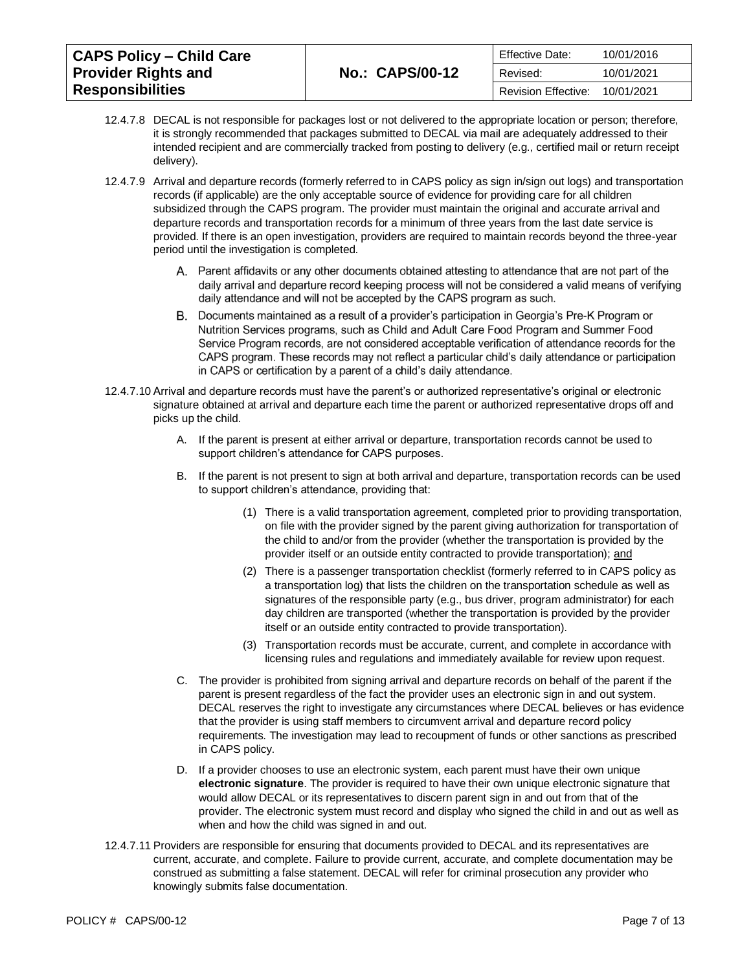| <b>CAPS Policy - Child Care</b> |                        | Effective Date:     | 10/01/2016 |
|---------------------------------|------------------------|---------------------|------------|
| <b>Provider Rights and</b>      | <b>No.: CAPS/00-12</b> | Revised:            | 10/01/2021 |
| <b>Responsibilities</b>         |                        | Revision Effective: | 10/01/2021 |

- 12.4.7.8 DECAL is not responsible for packages lost or not delivered to the appropriate location or person; therefore, it is strongly recommended that packages submitted to DECAL via mail are adequately addressed to their intended recipient and are commercially tracked from posting to delivery (e.g., certified mail or return receipt delivery).
- 12.4.7.9 Arrival and departure records (formerly referred to in CAPS policy as sign in/sign out logs) and transportation records (if applicable) are the only acceptable source of evidence for providing care for all children subsidized through the CAPS program. The provider must maintain the original and accurate arrival and departure records and transportation records for a minimum of three years from the last date service is provided. If there is an open investigation, providers are required to maintain records beyond the three-year period until the investigation is completed.
	- A. Parent affidavits or any other documents obtained attesting to attendance that are not part of the daily arrival and departure record keeping process will not be considered a valid means of verifying daily attendance and will not be accepted by the CAPS program as such.
	- B. Documents maintained as a result of a provider's participation in Georgia's Pre-K Program or Nutrition Services programs, such as Child and Adult Care Food Program and Summer Food Service Program records, are not considered acceptable verification of attendance records for the CAPS program. These records may not reflect a particular child's daily attendance or participation in CAPS or certification by a parent of a child's daily attendance.
- 12.4.7.10 Arrival and departure records must have the parent's or authorized representative's original or electronic signature obtained at arrival and departure each time the parent or authorized representative drops off and picks up the child.
	- A. If the parent is present at either arrival or departure, transportation records cannot be used to support children's attendance for CAPS purposes.
	- B. If the parent is not present to sign at both arrival and departure, transportation records can be used to support children's attendance, providing that:
		- (1) There is a valid transportation agreement, completed prior to providing transportation, on file with the provider signed by the parent giving authorization for transportation of the child to and/or from the provider (whether the transportation is provided by the provider itself or an outside entity contracted to provide transportation); and
		- (2) There is a passenger transportation checklist (formerly referred to in CAPS policy as a transportation log) that lists the children on the transportation schedule as well as signatures of the responsible party (e.g., bus driver, program administrator) for each day children are transported (whether the transportation is provided by the provider itself or an outside entity contracted to provide transportation).
		- (3) Transportation records must be accurate, current, and complete in accordance with licensing rules and regulations and immediately available for review upon request.
	- C. The provider is prohibited from signing arrival and departure records on behalf of the parent if the parent is present regardless of the fact the provider uses an electronic sign in and out system. DECAL reserves the right to investigate any circumstances where DECAL believes or has evidence that the provider is using staff members to circumvent arrival and departure record policy requirements. The investigation may lead to recoupment of funds or other sanctions as prescribed in CAPS policy.
	- D. If a provider chooses to use an electronic system, each parent must have their own unique **electronic signature**. The provider is required to have their own unique electronic signature that would allow DECAL or its representatives to discern parent sign in and out from that of the provider. The electronic system must record and display who signed the child in and out as well as when and how the child was signed in and out.
- 12.4.7.11 Providers are responsible for ensuring that documents provided to DECAL and its representatives are current, accurate, and complete. Failure to provide current, accurate, and complete documentation may be construed as submitting a false statement. DECAL will refer for criminal prosecution any provider who knowingly submits false documentation.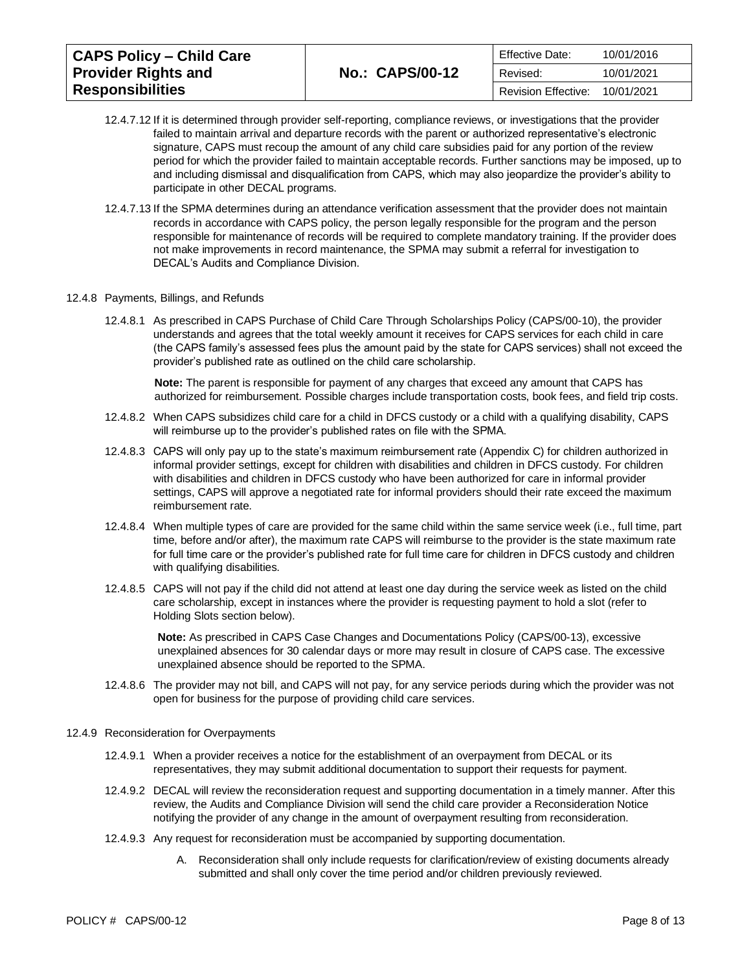| <b>CAPS Policy - Child Care</b> |                        | Effective Date:     | 10/01/2016 |
|---------------------------------|------------------------|---------------------|------------|
| <b>Provider Rights and</b>      | <b>No.: CAPS/00-12</b> | Revised:            | 10/01/2021 |
| <b>Responsibilities</b>         |                        | Revision Effective: | 10/01/2021 |

- 12.4.7.12 If it is determined through provider self-reporting, compliance reviews, or investigations that the provider failed to maintain arrival and departure records with the parent or authorized representative's electronic signature, CAPS must recoup the amount of any child care subsidies paid for any portion of the review period for which the provider failed to maintain acceptable records. Further sanctions may be imposed, up to and including dismissal and disqualification from CAPS, which may also jeopardize the provider's ability to participate in other DECAL programs.
- 12.4.7.13 If the SPMA determines during an attendance verification assessment that the provider does not maintain records in accordance with CAPS policy, the person legally responsible for the program and the person responsible for maintenance of records will be required to complete mandatory training. If the provider does not make improvements in record maintenance, the SPMA may submit a referral for investigation to DECAL's Audits and Compliance Division.
- 12.4.8 Payments, Billings, and Refunds
	- 12.4.8.1 As prescribed in [CAPS Purchase of Child Care Through Scholarships Policy \(CAPS/00-10\),](https://caps.decal.ga.gov/assets/downloads/CAPS/10-CAPS_Policy-Purchase%20of%20Child%20Care%20through%20Scholarships.pdf) the provider understands and agrees that the total weekly amount it receives for CAPS services for each child in care (the CAPS family's assessed fees plus the amount paid by the state for CAPS services) shall not exceed the provider's published rate as outlined on the child care scholarship.

**Note:** The parent is responsible for payment of any charges that exceed any amount that CAPS has authorized for reimbursement. Possible charges include transportation costs, book fees, and field trip costs.

- 12.4.8.2 When CAPS subsidizes child care for a child in DFCS custody or a child with a qualifying disability, CAPS will reimburse up to the provider's published rates on file with the SPMA.
- 12.4.8.3 CAPS will only pay up to the state's maximum reimbursement rate [\(Appendix C\)](https://caps.decal.ga.gov/assets/downloads/CAPS/AppendixC-CAPS%20Reimbursement%20Rates.pdf) for children authorized in informal provider settings, except for children with disabilities and children in DFCS custody. For children with disabilities and children in DFCS custody who have been authorized for care in informal provider settings, CAPS will approve a negotiated rate for informal providers should their rate exceed the maximum reimbursement rate.
- 12.4.8.4 When multiple types of care are provided for the same child within the same service week (i.e., full time, part time, before and/or after), the maximum rate CAPS will reimburse to the provider is the state maximum rate for full time care or the provider's published rate for full time care for children in DFCS custody and children with qualifying disabilities.
- 12.4.8.5 CAPS will not pay if the child did not attend at least one day during the service week as listed on the child care scholarship, except in instances where the provider is requesting payment to hold a slot (refer to Holding Slots section below).

**Note:** As prescribed in [CAPS Case Changes and Documentations Policy \(CAPS/00-13\),](https://caps.decal.ga.gov/assets/downloads/CAPS/13-CAPS_Policy-Case%20Changes%20and%20Documentation.pdf) excessive unexplained absences for 30 calendar days or more may result in closure of CAPS case. The excessive unexplained absence should be reported to the SPMA.

- 12.4.8.6 The provider may not bill, and CAPS will not pay, for any service periods during which the provider was not open for business for the purpose of providing child care services.
- 12.4.9 Reconsideration for Overpayments
	- 12.4.9.1 When a provider receives a notice for the establishment of an overpayment from DECAL or its representatives, they may submit additional documentation to support their requests for payment.
	- 12.4.9.2 DECAL will review the reconsideration request and supporting documentation in a timely manner. After this review, the Audits and Compliance Division will send the child care provider a Reconsideration Notice notifying the provider of any change in the amount of overpayment resulting from reconsideration.
	- 12.4.9.3 Any request for reconsideration must be accompanied by supporting documentation.
		- A. Reconsideration shall only include requests for clarification/review of existing documents already submitted and shall only cover the time period and/or children previously reviewed.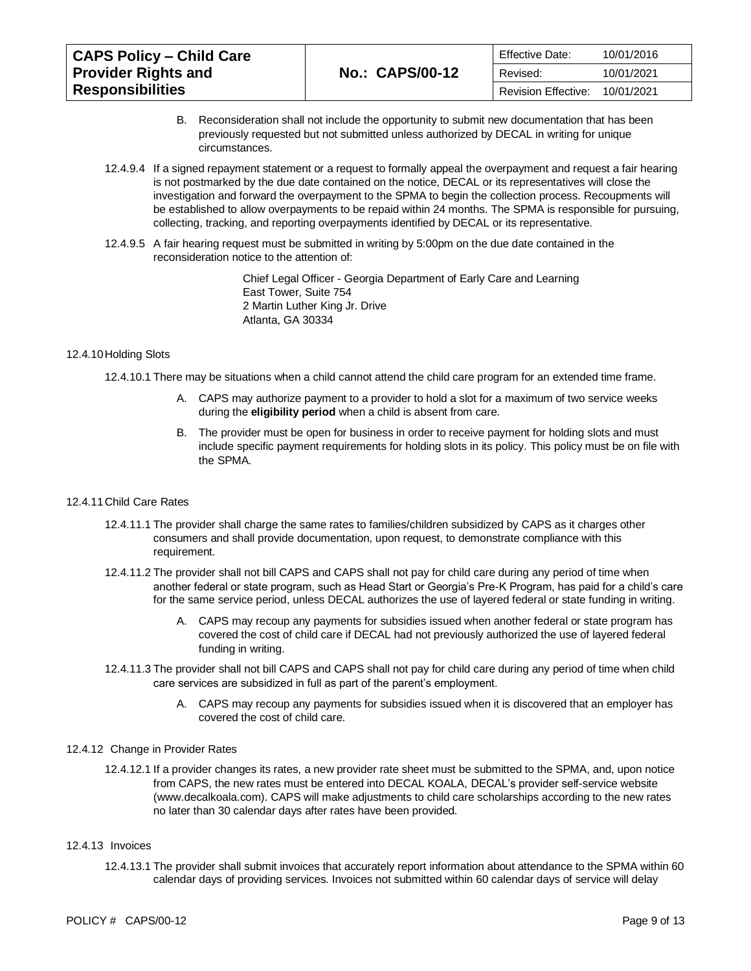| <b>CAPS Policy – Child Care</b> |                        | <b>Effective Date:</b>     | 10/01/2016 |
|---------------------------------|------------------------|----------------------------|------------|
| <b>Provider Rights and</b>      | <b>No.: CAPS/00-12</b> | Revised:                   | 10/01/2021 |
| <b>Responsibilities</b>         |                        | <b>Revision Effective:</b> | 10/01/2021 |

- B. Reconsideration shall not include the opportunity to submit new documentation that has been previously requested but not submitted unless authorized by DECAL in writing for unique circumstances.
- 12.4.9.4 If a signed repayment statement or a request to formally appeal the overpayment and request a fair hearing is not postmarked by the due date contained on the notice, DECAL or its representatives will close the investigation and forward the overpayment to the SPMA to begin the collection process. Recoupments will be established to allow overpayments to be repaid within 24 months. The SPMA is responsible for pursuing, collecting, tracking, and reporting overpayments identified by DECAL or its representative.
- 12.4.9.5 A fair hearing request must be submitted in writing by 5:00pm on the due date contained in the reconsideration notice to the attention of:

Chief Legal Officer - Georgia Department of Early Care and Learning East Tower, Suite 754 2 Martin Luther King Jr. Drive Atlanta, GA 30334

# 12.4.10Holding Slots

12.4.10.1 There may be situations when a child cannot attend the child care program for an extended time frame.

- A. CAPS may authorize payment to a provider to hold a slot for a maximum of two service weeks during the **eligibility period** when a child is absent from care.
- B. The provider must be open for business in order to receive payment for holding slots and must include specific payment requirements for holding slots in its policy. This policy must be on file with the SPMA.

#### 12.4.11Child Care Rates

- 12.4.11.1 The provider shall charge the same rates to families/children subsidized by CAPS as it charges other consumers and shall provide documentation, upon request, to demonstrate compliance with this requirement.
- 12.4.11.2 The provider shall not bill CAPS and CAPS shall not pay for child care during any period of time when another federal or state program, such as Head Start or Georgia's Pre-K Program, has paid for a child's care for the same service period, unless DECAL authorizes the use of layered federal or state funding in writing.
	- A. CAPS may recoup any payments for subsidies issued when another federal or state program has covered the cost of child care if DECAL had not previously authorized the use of layered federal funding in writing.
- 12.4.11.3 The provider shall not bill CAPS and CAPS shall not pay for child care during any period of time when child care services are subsidized in full as part of the parent's employment.
	- A. CAPS may recoup any payments for subsidies issued when it is discovered that an employer has covered the cost of child care.

# 12.4.12 Change in Provider Rates

12.4.12.1 If a provider changes its rates, a new provider rate sheet must be submitted to the SPMA, and, upon notice from CAPS, the new rates must be entered into DECAL KOALA, DECAL's provider self-service website [\(www.decalkoala.com\)](http://www.decalkoala.com/). CAPS will make adjustments to child care scholarships according to the new rates no later than 30 calendar days after rates have been provided.

#### 12.4.13 Invoices

12.4.13.1 The provider shall submit invoices that accurately report information about attendance to the SPMA within 60 calendar days of providing services. Invoices not submitted within 60 calendar days of service will delay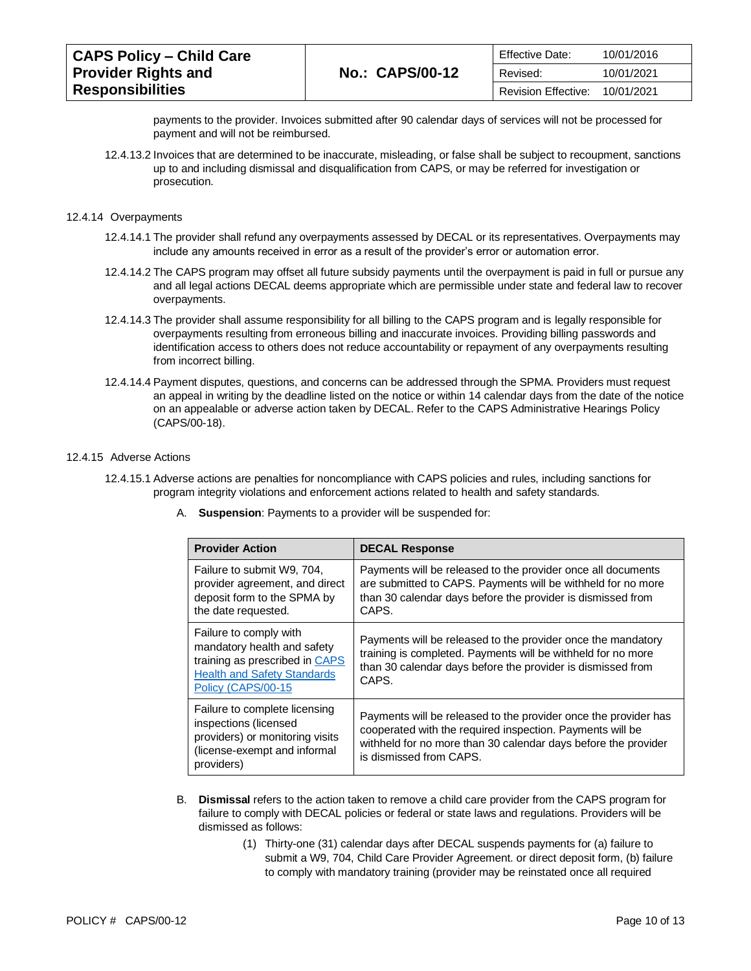| <b>CAPS Policy – Child Care</b> |                        | <b>Effective Date:</b> | 10/01/2016 |
|---------------------------------|------------------------|------------------------|------------|
| <b>Provider Rights and</b>      | <b>No.: CAPS/00-12</b> | Revised:               | 10/01/2021 |
| <b>Responsibilities</b>         |                        | Revision Effective:    | 10/01/2021 |

payments to the provider. Invoices submitted after 90 calendar days of services will not be processed for payment and will not be reimbursed.

12.4.13.2 Invoices that are determined to be inaccurate, misleading, or false shall be subject to recoupment, sanctions up to and including dismissal and disqualification from CAPS, or may be referred for investigation or prosecution.

#### 12.4.14 Overpayments

- 12.4.14.1 The provider shall refund any overpayments assessed by DECAL or its representatives. Overpayments may include any amounts received in error as a result of the provider's error or automation error.
- 12.4.14.2 The CAPS program may offset all future subsidy payments until the overpayment is paid in full or pursue any and all legal actions DECAL deems appropriate which are permissible under state and federal law to recover overpayments.
- 12.4.14.3 The provider shall assume responsibility for all billing to the CAPS program and is legally responsible for overpayments resulting from erroneous billing and inaccurate invoices. Providing billing passwords and identification access to others does not reduce accountability or repayment of any overpayments resulting from incorrect billing.
- 12.4.14.4 Payment disputes, questions, and concerns can be addressed through the SPMA. Providers must request an appeal in writing by the deadline listed on the notice or within 14 calendar days from the date of the notice on an appealable or adverse action taken by DECAL. Refer to the [CAPS Administrative Hearings Policy](https://caps.decal.ga.gov/assets/downloads/CAPS/18-CAPS_Policy-Administrative%20Hearings.pdf)  [\(CAPS/00-18\).](https://caps.decal.ga.gov/assets/downloads/CAPS/18-CAPS_Policy-Administrative%20Hearings.pdf)

#### 12.4.15 Adverse Actions

- 12.4.15.1 Adverse actions are penalties for noncompliance with CAPS policies and rules, including sanctions for program integrity violations and enforcement actions related to health and safety standards.
	- A. **Suspension**: Payments to a provider will be suspended for:

| <b>Provider Action</b>                                                                                                                              | <b>DECAL Response</b>                                                                                                                                                                                                     |
|-----------------------------------------------------------------------------------------------------------------------------------------------------|---------------------------------------------------------------------------------------------------------------------------------------------------------------------------------------------------------------------------|
| Failure to submit W9, 704,<br>provider agreement, and direct<br>deposit form to the SPMA by<br>the date requested.                                  | Payments will be released to the provider once all documents<br>are submitted to CAPS. Payments will be withheld for no more<br>than 30 calendar days before the provider is dismissed from<br>CAPS.                      |
| Failure to comply with<br>mandatory health and safety<br>training as prescribed in CAPS<br><b>Health and Safety Standards</b><br>Policy (CAPS/00-15 | Payments will be released to the provider once the mandatory<br>training is completed. Payments will be withheld for no more<br>than 30 calendar days before the provider is dismissed from<br>CAPS.                      |
| Failure to complete licensing<br>inspections (licensed<br>providers) or monitoring visits<br>(license-exempt and informal<br>providers)             | Payments will be released to the provider once the provider has<br>cooperated with the required inspection. Payments will be<br>withheld for no more than 30 calendar days before the provider<br>is dismissed from CAPS. |

- B. **Dismissal** refers to the action taken to remove a child care provider from the CAPS program for failure to comply with DECAL policies or federal or state laws and regulations. Providers will be dismissed as follows:
	- (1) Thirty-one (31) calendar days after DECAL suspends payments for (a) failure to submit a W9, 704, Child Care Provider Agreement. or direct deposit form, (b) failure to comply with mandatory training (provider may be reinstated once all required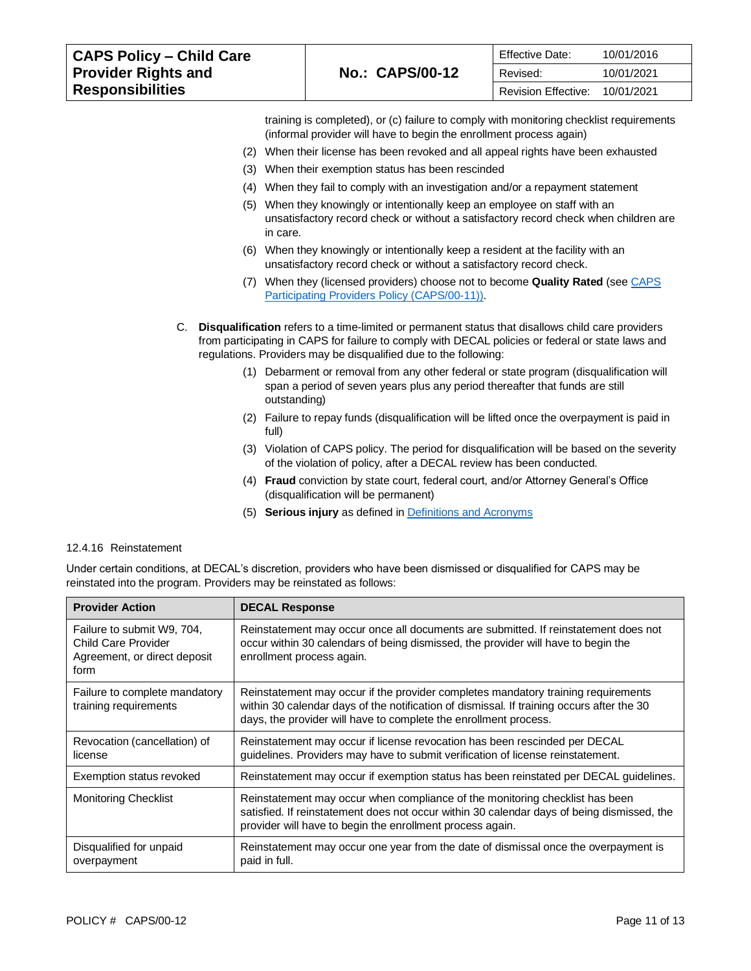| <b>CAPS Policy - Child Care</b>                       | <b>No.: CAPS/00-12</b> | Effective Date:     | 10/01/2016 |
|-------------------------------------------------------|------------------------|---------------------|------------|
| <b>Provider Rights and</b><br><b>Responsibilities</b> |                        | Revised:            | 10/01/2021 |
|                                                       |                        | Revision Effective: | 10/01/2021 |

training is completed), or (c) failure to comply with monitoring checklist requirements (informal provider will have to begin the enrollment process again)

- (2) When their license has been revoked and all appeal rights have been exhausted
- (3) When their exemption status has been rescinded
- (4) When they fail to comply with an investigation and/or a repayment statement
- (5) When they knowingly or intentionally keep an employee on staff with an unsatisfactory record check or without a satisfactory record check when children are in care.
- (6) When they knowingly or intentionally keep a resident at the facility with an unsatisfactory record check or without a satisfactory record check.
- (7) When they (licensed providers) choose not to become **Quality Rated** (se[e CAPS](https://caps.decal.ga.gov/assets/downloads/CAPS/11-CAPS_Policy-Participating%20Providers.pdf)  [Participating Providers Policy \(CAPS/00-11\)\)](https://caps.decal.ga.gov/assets/downloads/CAPS/11-CAPS_Policy-Participating%20Providers.pdf).
- C. **Disqualification** refers to a time-limited or permanent status that disallows child care providers from participating in CAPS for failure to comply with DECAL policies or federal or state laws and regulations. Providers may be disqualified due to the following:
	- (1) Debarment or removal from any other federal or state program (disqualification will span a period of seven years plus any period thereafter that funds are still outstanding)
	- (2) Failure to repay funds (disqualification will be lifted once the overpayment is paid in full)
	- (3) Violation of CAPS policy. The period for disqualification will be based on the severity of the violation of policy, after a DECAL review has been conducted.
	- (4) **Fraud** conviction by state court, federal court, and/or Attorney General's Office (disqualification will be permanent)
	- (5) **Serious injury** as defined in [Definitions and Acronyms](https://caps.decal.ga.gov/assets/downloads/CAPS/02-CAPS_Policy-Definitions%20and%20Acronyms.pdf)

## 12.4.16 Reinstatement

Under certain conditions, at DECAL's discretion, providers who have been dismissed or disqualified for CAPS may be reinstated into the program. Providers may be reinstated as follows:

| <b>Provider Action</b>                                                                    | <b>DECAL Response</b>                                                                                                                                                                                                                              |
|-------------------------------------------------------------------------------------------|----------------------------------------------------------------------------------------------------------------------------------------------------------------------------------------------------------------------------------------------------|
| Failure to submit W9, 704,<br>Child Care Provider<br>Agreement, or direct deposit<br>form | Reinstatement may occur once all documents are submitted. If reinstatement does not<br>occur within 30 calendars of being dismissed, the provider will have to begin the<br>enrollment process again.                                              |
| Failure to complete mandatory<br>training requirements                                    | Reinstatement may occur if the provider completes mandatory training requirements<br>within 30 calendar days of the notification of dismissal. If training occurs after the 30<br>days, the provider will have to complete the enrollment process. |
| Revocation (cancellation) of<br>license                                                   | Reinstatement may occur if license revocation has been rescinded per DECAL<br>guidelines. Providers may have to submit verification of license reinstatement.                                                                                      |
| Exemption status revoked                                                                  | Reinstatement may occur if exemption status has been reinstated per DECAL guidelines.                                                                                                                                                              |
| <b>Monitoring Checklist</b>                                                               | Reinstatement may occur when compliance of the monitoring checklist has been<br>satisfied. If reinstatement does not occur within 30 calendar days of being dismissed, the<br>provider will have to begin the enrollment process again.            |
| Disgualified for unpaid<br>overpayment                                                    | Reinstatement may occur one year from the date of dismissal once the overpayment is<br>paid in full.                                                                                                                                               |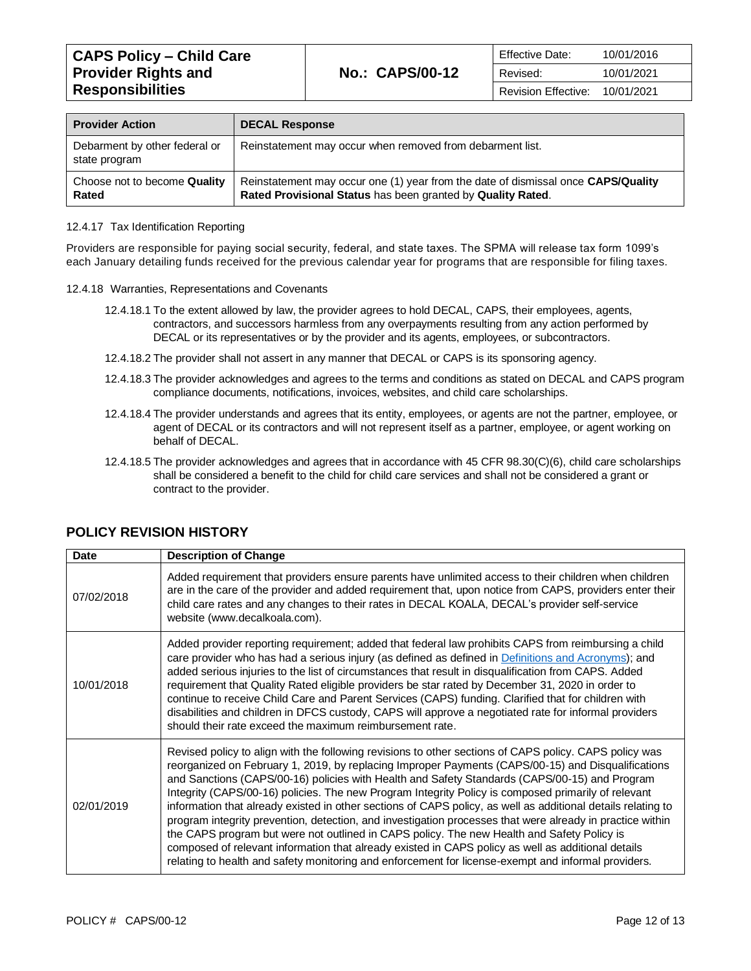| <b>Provider Action</b>                         | <b>DECAL Response</b>                                                                                                                            |
|------------------------------------------------|--------------------------------------------------------------------------------------------------------------------------------------------------|
| Debarment by other federal or<br>state program | Reinstatement may occur when removed from debarment list.                                                                                        |
| Choose not to become Quality<br>Rated          | Reinstatement may occur one (1) year from the date of dismissal once CAPS/Quality<br>Rated Provisional Status has been granted by Quality Rated. |

### 12.4.17 Tax Identification Reporting

Providers are responsible for paying social security, federal, and state taxes. The SPMA will release tax form 1099's each January detailing funds received for the previous calendar year for programs that are responsible for filing taxes.

- 12.4.18 Warranties, Representations and Covenants
	- 12.4.18.1 To the extent allowed by law, the provider agrees to hold DECAL, CAPS, their employees, agents, contractors, and successors harmless from any overpayments resulting from any action performed by DECAL or its representatives or by the provider and its agents, employees, or subcontractors.
	- 12.4.18.2 The provider shall not assert in any manner that DECAL or CAPS is its sponsoring agency.
	- 12.4.18.3 The provider acknowledges and agrees to the terms and conditions as stated on DECAL and CAPS program compliance documents, notifications, invoices, websites, and child care scholarships.
	- 12.4.18.4 The provider understands and agrees that its entity, employees, or agents are not the partner, employee, or agent of DECAL or its contractors and will not represent itself as a partner, employee, or agent working on behalf of DECAL.
	- 12.4.18.5 The provider acknowledges and agrees that in accordance with 45 CFR 98.30(C)(6), child care scholarships shall be considered a benefit to the child for child care services and shall not be considered a grant or contract to the provider.

| Date       | <b>Description of Change</b>                                                                                                                                                                                                                                                                                                                                                                                                                                                                                                                                                                                                                                                                                                                                                                                                                                                                                                                                 |
|------------|--------------------------------------------------------------------------------------------------------------------------------------------------------------------------------------------------------------------------------------------------------------------------------------------------------------------------------------------------------------------------------------------------------------------------------------------------------------------------------------------------------------------------------------------------------------------------------------------------------------------------------------------------------------------------------------------------------------------------------------------------------------------------------------------------------------------------------------------------------------------------------------------------------------------------------------------------------------|
| 07/02/2018 | Added requirement that providers ensure parents have unlimited access to their children when children<br>are in the care of the provider and added requirement that, upon notice from CAPS, providers enter their<br>child care rates and any changes to their rates in DECAL KOALA, DECAL's provider self-service<br>website (www.decalkoala.com).                                                                                                                                                                                                                                                                                                                                                                                                                                                                                                                                                                                                          |
| 10/01/2018 | Added provider reporting requirement; added that federal law prohibits CAPS from reimbursing a child<br>care provider who has had a serious injury (as defined as defined in Definitions and Acronyms); and<br>added serious injuries to the list of circumstances that result in disqualification from CAPS. Added<br>requirement that Quality Rated eligible providers be star rated by December 31, 2020 in order to<br>continue to receive Child Care and Parent Services (CAPS) funding. Clarified that for children with<br>disabilities and children in DFCS custody, CAPS will approve a negotiated rate for informal providers<br>should their rate exceed the maximum reimbursement rate.                                                                                                                                                                                                                                                          |
| 02/01/2019 | Revised policy to align with the following revisions to other sections of CAPS policy. CAPS policy was<br>reorganized on February 1, 2019, by replacing Improper Payments (CAPS/00-15) and Disqualifications<br>and Sanctions (CAPS/00-16) policies with Health and Safety Standards (CAPS/00-15) and Program<br>Integrity (CAPS/00-16) policies. The new Program Integrity Policy is composed primarily of relevant<br>information that already existed in other sections of CAPS policy, as well as additional details relating to<br>program integrity prevention, detection, and investigation processes that were already in practice within<br>the CAPS program but were not outlined in CAPS policy. The new Health and Safety Policy is<br>composed of relevant information that already existed in CAPS policy as well as additional details<br>relating to health and safety monitoring and enforcement for license-exempt and informal providers. |

# **POLICY REVISION HISTORY**